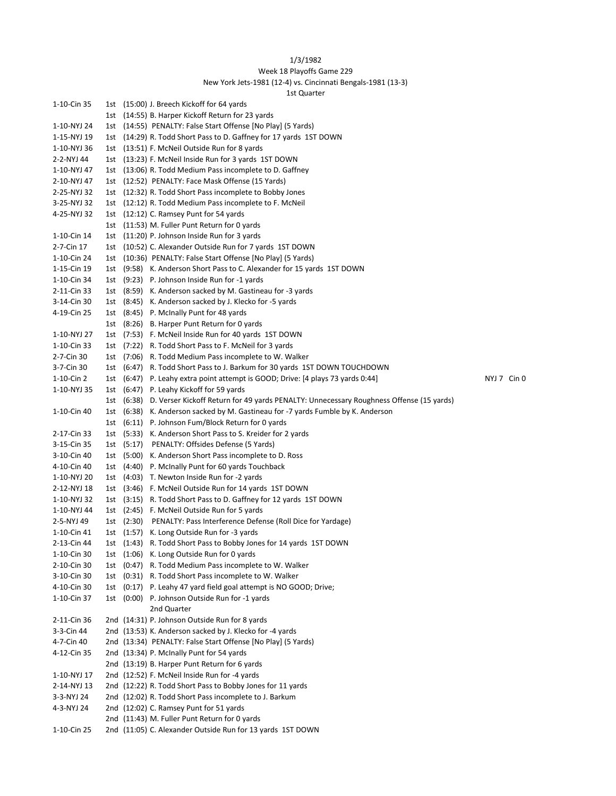## 1/3/1982

## Week 18 Playoffs Game 229

## New York Jets-1981 (12-4) vs. Cincinnati Bengals-1981 (13-3)

| 1st Quarter |  |
|-------------|--|
|-------------|--|

|                            |  | ι νι υλαι ις ι                                                                                                  |             |
|----------------------------|--|-----------------------------------------------------------------------------------------------------------------|-------------|
| 1-10-Cin 35                |  | 1st (15:00) J. Breech Kickoff for 64 yards                                                                      |             |
|                            |  | 1st (14:55) B. Harper Kickoff Return for 23 yards                                                               |             |
| 1-10-NYJ 24                |  | 1st (14:55) PENALTY: False Start Offense [No Play] (5 Yards)                                                    |             |
| 1-15-NYJ 19                |  | 1st (14:29) R. Todd Short Pass to D. Gaffney for 17 yards 1ST DOWN                                              |             |
| 1-10-NYJ 36                |  | 1st (13:51) F. McNeil Outside Run for 8 yards                                                                   |             |
| 2-2-NYJ 44                 |  | 1st (13:23) F. McNeil Inside Run for 3 yards 1ST DOWN                                                           |             |
| 1-10-NYJ 47                |  | 1st (13:06) R. Todd Medium Pass incomplete to D. Gaffney                                                        |             |
| 2-10-NYJ 47                |  | 1st (12:52) PENALTY: Face Mask Offense (15 Yards)                                                               |             |
| 2-25-NYJ 32                |  | 1st (12:32) R. Todd Short Pass incomplete to Bobby Jones                                                        |             |
| 3-25-NYJ 32                |  | 1st (12:12) R. Todd Medium Pass incomplete to F. McNeil                                                         |             |
| 4-25-NYJ 32                |  | 1st (12:12) C. Ramsey Punt for 54 yards                                                                         |             |
|                            |  | 1st (11:53) M. Fuller Punt Return for 0 yards                                                                   |             |
| 1-10-Cin 14                |  | 1st (11:20) P. Johnson Inside Run for 3 yards                                                                   |             |
| 2-7-Cin 17                 |  | 1st (10:52) C. Alexander Outside Run for 7 yards 1ST DOWN                                                       |             |
| 1-10-Cin 24                |  | 1st (10:36) PENALTY: False Start Offense [No Play] (5 Yards)                                                    |             |
| 1-15-Cin 19                |  | 1st (9:58) K. Anderson Short Pass to C. Alexander for 15 yards 1ST DOWN                                         |             |
| 1-10-Cin 34                |  | 1st (9:23) P. Johnson Inside Run for -1 yards                                                                   |             |
| 2-11-Cin 33                |  | 1st (8:59) K. Anderson sacked by M. Gastineau for -3 yards                                                      |             |
| 3-14-Cin 30                |  | 1st (8:45) K. Anderson sacked by J. Klecko for -5 yards                                                         |             |
| 4-19-Cin 25                |  | 1st (8:45) P. McInally Punt for 48 yards                                                                        |             |
|                            |  | 1st (8:26) B. Harper Punt Return for 0 yards                                                                    |             |
| 1-10-NYJ 27                |  | 1st (7:53) F. McNeil Inside Run for 40 yards 1ST DOWN                                                           |             |
| 1-10-Cin 33                |  | 1st (7:22) R. Todd Short Pass to F. McNeil for 3 yards                                                          |             |
| 2-7-Cin 30                 |  | 1st (7:06) R. Todd Medium Pass incomplete to W. Walker                                                          |             |
| 3-7-Cin 30                 |  | 1st (6:47) R. Todd Short Pass to J. Barkum for 30 yards 1ST DOWN TOUCHDOWN                                      |             |
| 1-10-Cin 2                 |  | 1st (6:47) P. Leahy extra point attempt is GOOD; Drive: [4 plays 73 yards 0:44]                                 | NYJ 7 Cin 0 |
| 1-10-NYJ 35                |  | 1st (6:47) P. Leahy Kickoff for 59 yards                                                                        |             |
|                            |  | 1st (6:38) D. Verser Kickoff Return for 49 yards PENALTY: Unnecessary Roughness Offense (15 yards)              |             |
| 1-10-Cin 40                |  | 1st (6:38) K. Anderson sacked by M. Gastineau for -7 yards Fumble by K. Anderson                                |             |
|                            |  | 1st (6:11) P. Johnson Fum/Block Return for 0 yards                                                              |             |
| 2-17-Cin 33                |  | 1st (5:33) K. Anderson Short Pass to S. Kreider for 2 yards                                                     |             |
| 3-15-Cin 35                |  | 1st (5:17) PENALTY: Offsides Defense (5 Yards)                                                                  |             |
| 3-10-Cin 40                |  | 1st (5:00) K. Anderson Short Pass incomplete to D. Ross                                                         |             |
| 4-10-Cin 40                |  | 1st (4:40) P. McInally Punt for 60 yards Touchback                                                              |             |
| 1-10-NYJ 20                |  | 1st (4:03) T. Newton Inside Run for -2 yards                                                                    |             |
| 2-12-NYJ 18                |  | 1st (3:46) F. McNeil Outside Run for 14 yards 1ST DOWN                                                          |             |
| 1-10-NYJ 32                |  | 1st (3:15) R. Todd Short Pass to D. Gaffney for 12 yards 1ST DOWN                                               |             |
| 1-10-NYJ 44                |  | 1st (2:45) F. McNeil Outside Run for 5 yards                                                                    |             |
| 2-5-NYJ 49                 |  | 1st (2:30) PENALTY: Pass Interference Defense (Roll Dice for Yardage)                                           |             |
| 1-10-Cin 41                |  | 1st (1:57) K. Long Outside Run for -3 yards                                                                     |             |
| 2-13-Cin 44                |  | 1st (1:43) R. Todd Short Pass to Bobby Jones for 14 yards 1ST DOWN                                              |             |
| 1-10-Cin 30                |  | 1st (1:06) K. Long Outside Run for 0 yards                                                                      |             |
| 2-10-Cin 30                |  | 1st (0:47) R. Todd Medium Pass incomplete to W. Walker<br>1st (0:31) R. Todd Short Pass incomplete to W. Walker |             |
| 3-10-Cin 30<br>4-10-Cin 30 |  | 1st (0:17) P. Leahy 47 yard field goal attempt is NO GOOD; Drive;                                               |             |
|                            |  | 1st (0:00) P. Johnson Outside Run for -1 yards                                                                  |             |
| 1-10-Cin 37                |  | 2nd Quarter                                                                                                     |             |
| 2-11-Cin 36                |  | 2nd (14:31) P. Johnson Outside Run for 8 yards                                                                  |             |
| 3-3-Cin 44                 |  | 2nd (13:53) K. Anderson sacked by J. Klecko for -4 yards                                                        |             |
| 4-7-Cin 40                 |  | 2nd (13:34) PENALTY: False Start Offense [No Play] (5 Yards)                                                    |             |
| 4-12-Cin 35                |  | 2nd (13:34) P. McInally Punt for 54 yards                                                                       |             |
|                            |  | 2nd (13:19) B. Harper Punt Return for 6 yards                                                                   |             |
| 1-10-NYJ 17                |  | 2nd (12:52) F. McNeil Inside Run for -4 yards                                                                   |             |
| 2-14-NYJ 13                |  | 2nd (12:22) R. Todd Short Pass to Bobby Jones for 11 yards                                                      |             |
| 3-3-NYJ 24                 |  | 2nd (12:02) R. Todd Short Pass incomplete to J. Barkum                                                          |             |
| 4-3-NYJ 24                 |  | 2nd (12:02) C. Ramsey Punt for 51 yards                                                                         |             |
|                            |  | 2nd (11:43) M. Fuller Punt Return for 0 yards                                                                   |             |
| 1-10-Cin 25                |  | 2nd (11:05) C. Alexander Outside Run for 13 yards 1ST DOWN                                                      |             |
|                            |  |                                                                                                                 |             |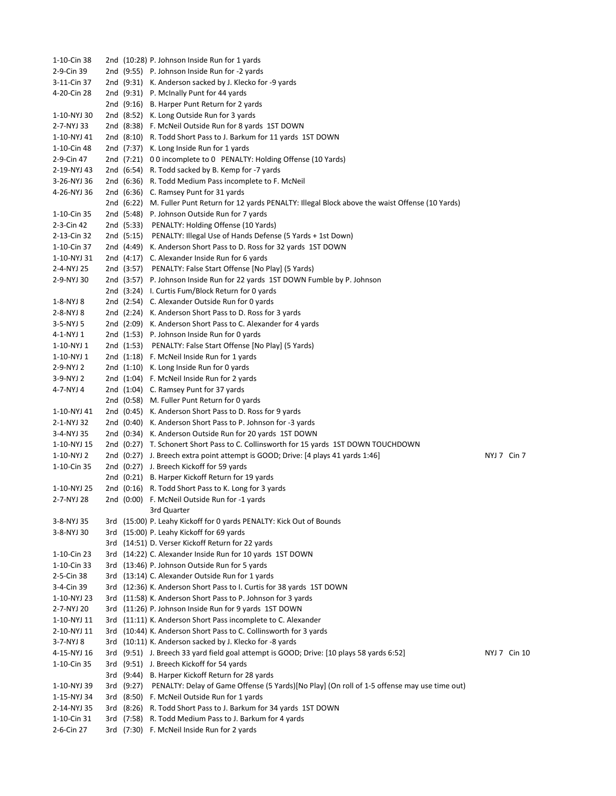1-10-Cin 38 2nd (10:28) P. Johnson Inside Run for 1 yards 2-9-Cin 39 2nd (9:55) P. Johnson Inside Run for -2 yards 3-11-Cin 37 2nd (9:31) K. Anderson sacked by J. Klecko for -9 yards 4-20-Cin 28 2nd (9:31) P. McInally Punt for 44 yards 2nd (9:16) B. Harper Punt Return for 2 yards 1-10-NYJ 30 2nd (8:52) K. Long Outside Run for 3 yards 2-7-NYJ 33 2nd (8:38) F. McNeil Outside Run for 8 yards 1ST DOWN 1-10-NYJ 41 2nd (8:10) R. Todd Short Pass to J. Barkum for 11 yards 1ST DOWN 1-10-Cin 48 2nd (7:37) K. Long Inside Run for 1 yards 2-9-Cin 47 2nd (7:21) 0 0 incomplete to 0 PENALTY: Holding Offense (10 Yards) 2-19-NYJ 43 2nd (6:54) R. Todd sacked by B. Kemp for -7 yards 3-26-NYJ 36 2nd (6:36) R. Todd Medium Pass incomplete to F. McNeil 4-26-NYJ 36 2nd (6:36) C. Ramsey Punt for 31 yards 2nd (6:22) M. Fuller Punt Return for 12 yards PENALTY: Illegal Block above the waist Offense (10 Yards) 1-10-Cin 35 2nd (5:48) P. Johnson Outside Run for 7 yards 2-3-Cin 42 2nd (5:33) PENALTY: Holding Offense (10 Yards) 2-13-Cin 32 2nd (5:15) PENALTY: Illegal Use of Hands Defense (5 Yards + 1st Down) 1-10-Cin 37 2nd (4:49) K. Anderson Short Pass to D. Ross for 32 yards 1ST DOWN 1-10-NYJ 31 2nd (4:17) C. Alexander Inside Run for 6 yards 2-4-NYJ 25 2nd (3:57) PENALTY: False Start Offense [No Play] (5 Yards) 2-9-NYJ 30 2nd (3:57) P. Johnson Inside Run for 22 yards 1ST DOWN Fumble by P. Johnson 2nd (3:24) I. Curtis Fum/Block Return for 0 yards 1-8-NYJ 8 2nd (2:54) C. Alexander Outside Run for 0 yards 2-8-NYJ 8 2nd (2:24) K. Anderson Short Pass to D. Ross for 3 yards 3-5-NYJ 5 2nd (2:09) K. Anderson Short Pass to C. Alexander for 4 yards 4-1-NYJ 1 2nd (1:53) P. Johnson Inside Run for 0 yards 1-10-NYJ 1 2nd (1:53) PENALTY: False Start Offense [No Play] (5 Yards) 1-10-NYJ 1 2nd (1:18) F. McNeil Inside Run for 1 yards 2-9-NYJ 2 2nd (1:10) K. Long Inside Run for 0 yards 3-9-NYJ 2 2nd (1:04) F. McNeil Inside Run for 2 yards 4-7-NYJ 4 2nd (1:04) C. Ramsey Punt for 37 yards 2nd (0:58) M. Fuller Punt Return for 0 yards 1-10-NYJ 41 2nd (0:45) K. Anderson Short Pass to D. Ross for 9 yards 2-1-NYJ 32 2nd (0:40) K. Anderson Short Pass to P. Johnson for -3 yards 3-4-NYJ 35 2nd (0:34) K. Anderson Outside Run for 20 yards 1ST DOWN 1-10-NYJ 15 2nd (0:27) T. Schonert Short Pass to C. Collinsworth for 15 yards 1ST DOWN TOUCHDOWN 1-10-NYJ 2 2nd (0:27) J. Breech extra point attempt is GOOD; Drive: [4 plays 41 yards 1:46] NYJ 7 Cin 7 1-10-Cin 35 2nd (0:27) J. Breech Kickoff for 59 yards 2nd (0:21) B. Harper Kickoff Return for 19 yards 1-10-NYJ 25 2nd (0:16) R. Todd Short Pass to K. Long for 3 yards 2-7-NYJ 28 2nd (0:00) F. McNeil Outside Run for -1 yards 3rd Quarter 3-8-NYJ 35 3rd (15:00) P. Leahy Kickoff for 0 yards PENALTY: Kick Out of Bounds 3-8-NYJ 30 3rd (15:00) P. Leahy Kickoff for 69 yards 3rd (14:51) D. Verser Kickoff Return for 22 yards 1-10-Cin 23 3rd (14:22) C. Alexander Inside Run for 10 yards 1ST DOWN 1-10-Cin 33 3rd (13:46) P. Johnson Outside Run for 5 yards 2-5-Cin 38 3rd (13:14) C. Alexander Outside Run for 1 yards 3-4-Cin 39 3rd (12:36) K. Anderson Short Pass to I. Curtis for 38 yards 1ST DOWN 1-10-NYJ 23 3rd (11:58) K. Anderson Short Pass to P. Johnson for 3 yards 2-7-NYJ 20 3rd (11:26) P. Johnson Inside Run for 9 yards 1ST DOWN 1-10-NYJ 11 3rd (11:11) K. Anderson Short Pass incomplete to C. Alexander 2-10-NYJ 11 3rd (10:44) K. Anderson Short Pass to C. Collinsworth for 3 yards 3-7-NYJ 8 3rd (10:11) K. Anderson sacked by J. Klecko for -8 yards 4-15-NYJ 16 3rd (9:51) J. Breech 33 yard field goal attempt is GOOD; Drive: [10 plays 58 yards 6:52] NYJ 7 Cin 10 1-10-Cin 35 3rd (9:51) J. Breech Kickoff for 54 yards 3rd (9:44) B. Harper Kickoff Return for 28 yards 1-10-NYJ 39 3rd (9:27) PENALTY: Delay of Game Offense (5 Yards)[No Play] (On roll of 1-5 offense may use time out) 1-15-NYJ 34 3rd (8:50) F. McNeil Outside Run for 1 yards 2-14-NYJ 35 3rd (8:26) R. Todd Short Pass to J. Barkum for 34 yards 1ST DOWN 1-10-Cin 31 3rd (7:58) R. Todd Medium Pass to J. Barkum for 4 yards 2-6-Cin 27 3rd (7:30) F. McNeil Inside Run for 2 yards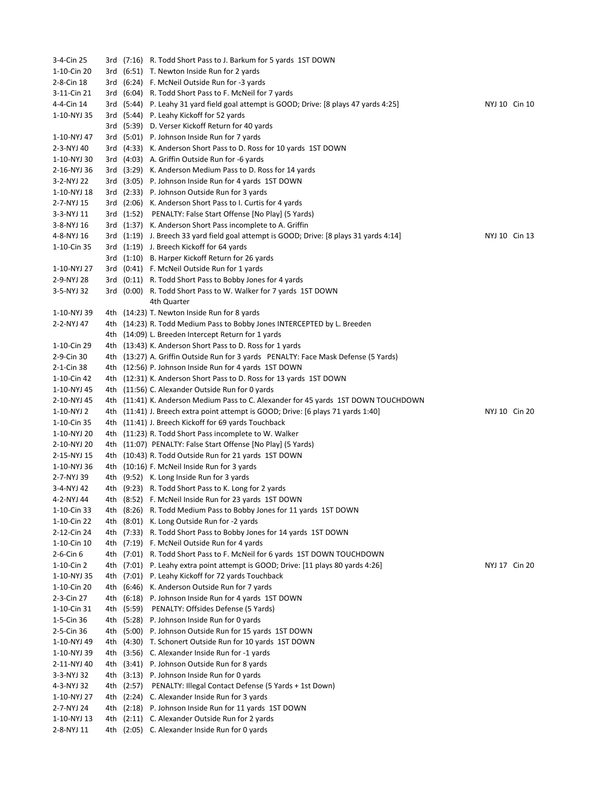3-4-Cin 25 3rd (7:16) R. Todd Short Pass to J. Barkum for 5 yards 1ST DOWN 1-10-Cin 20 3rd (6:51) T. Newton Inside Run for 2 yards 2-8-Cin 18 3rd (6:24) F. McNeil Outside Run for -3 yards 3-11-Cin 21 3rd (6:04) R. Todd Short Pass to F. McNeil for 7 yards 4-4-Cin 14 3rd (5:44) P. Leahy 31 yard field goal attempt is GOOD; Drive: [8 plays 47 yards 4:25] NYJ 10 Cin 10 1-10-NYJ 35 3rd (5:44) P. Leahy Kickoff for 52 yards 3rd (5:39) D. Verser Kickoff Return for 40 yards 1-10-NYJ 47 3rd (5:01) P. Johnson Inside Run for 7 yards 2-3-NYJ 40 3rd (4:33) K. Anderson Short Pass to D. Ross for 10 yards 1ST DOWN 1-10-NYJ 30 3rd (4:03) A. Griffin Outside Run for -6 yards 2-16-NYJ 36 3rd (3:29) K. Anderson Medium Pass to D. Ross for 14 yards 3-2-NYJ 22 3rd (3:05) P. Johnson Inside Run for 4 yards 1ST DOWN 1-10-NYJ 18 3rd (2:33) P. Johnson Outside Run for 3 yards 2-7-NYJ 15 3rd (2:06) K. Anderson Short Pass to I. Curtis for 4 yards 3-3-NYJ 11 3rd (1:52) PENALTY: False Start Offense [No Play] (5 Yards) 3-8-NYJ 16 3rd (1:37) K. Anderson Short Pass incomplete to A. Griffin 4-8-NYJ 16 3rd (1:19) J. Breech 33 yard field goal attempt is GOOD; Drive: [8 plays 31 yards 4:14] NYJ 10 Cin 13 1-10-Cin 35 3rd (1:19) J. Breech Kickoff for 64 yards 3rd (1:10) B. Harper Kickoff Return for 26 yards 1-10-NYJ 27 3rd (0:41) F. McNeil Outside Run for 1 yards 2-9-NYJ 28 3rd (0:11) R. Todd Short Pass to Bobby Jones for 4 yards 3-5-NYJ 32 3rd (0:00) R. Todd Short Pass to W. Walker for 7 yards 1ST DOWN 4th Quarter 1-10-NYJ 39 4th (14:23) T. Newton Inside Run for 8 yards 2-2-NYJ 47 4th (14:23) R. Todd Medium Pass to Bobby Jones INTERCEPTED by L. Breeden 4th (14:09) L. Breeden Intercept Return for 1 yards 1-10-Cin 29 4th (13:43) K. Anderson Short Pass to D. Ross for 1 yards 2-9-Cin 30 4th (13:27) A. Griffin Outside Run for 3 yards PENALTY: Face Mask Defense (5 Yards) 2-1-Cin 38 4th (12:56) P. Johnson Inside Run for 4 yards 1ST DOWN 1-10-Cin 42 4th (12:31) K. Anderson Short Pass to D. Ross for 13 yards 1ST DOWN 1-10-NYJ 45 4th (11:56) C. Alexander Outside Run for 0 yards 2-10-NYJ 45 4th (11:41) K. Anderson Medium Pass to C. Alexander for 45 yards 1ST DOWN TOUCHDOWN 1-10-NYJ 2 4th (11:41) J. Breech extra point attempt is GOOD; Drive: [6 plays 71 yards 1:40] NYJ 10 Cin 20 1-10-Cin 35 4th (11:41) J. Breech Kickoff for 69 yards Touchback 1-10-NYJ 20 4th (11:23) R. Todd Short Pass incomplete to W. Walker 2-10-NYJ 20 4th (11:07) PENALTY: False Start Offense [No Play] (5 Yards) 2-15-NYJ 15 4th (10:43) R. Todd Outside Run for 21 yards 1ST DOWN 1-10-NYJ 36 4th (10:16) F. McNeil Inside Run for 3 yards 2-7-NYJ 39 4th (9:52) K. Long Inside Run for 3 yards 3-4-NYJ 42 4th (9:23) R. Todd Short Pass to K. Long for 2 yards 4-2-NYJ 44 4th (8:52) F. McNeil Inside Run for 23 yards 1ST DOWN 1-10-Cin 33 4th (8:26) R. Todd Medium Pass to Bobby Jones for 11 yards 1ST DOWN 1-10-Cin 22 4th (8:01) K. Long Outside Run for -2 yards 2-12-Cin 24 4th (7:33) R. Todd Short Pass to Bobby Jones for 14 yards 1ST DOWN 1-10-Cin 10 4th (7:19) F. McNeil Outside Run for 4 yards 2-6-Cin 6 4th (7:01) R. Todd Short Pass to F. McNeil for 6 yards 1ST DOWN TOUCHDOWN 1-10-Cin 2 4th (7:01) P. Leahy extra point attempt is GOOD; Drive: [11 plays 80 yards 4:26] NYJ 17 Cin 20 1-10-NYJ 35 4th (7:01) P. Leahy Kickoff for 72 yards Touchback 1-10-Cin 20 4th (6:46) K. Anderson Outside Run for 7 yards 2-3-Cin 27 4th (6:18) P. Johnson Inside Run for 4 yards 1ST DOWN 1-10-Cin 31 4th (5:59) PENALTY: Offsides Defense (5 Yards) 1-5-Cin 36 4th (5:28) P. Johnson Inside Run for 0 yards 2-5-Cin 36 4th (5:00) P. Johnson Outside Run for 15 yards 1ST DOWN 1-10-NYJ 49 4th (4:30) T. Schonert Outside Run for 10 yards 1ST DOWN 1-10-NYJ 39 4th (3:56) C. Alexander Inside Run for -1 yards 2-11-NYJ 40 4th (3:41) P. Johnson Outside Run for 8 yards 3-3-NYJ 32 4th (3:13) P. Johnson Inside Run for 0 yards 4-3-NYJ 32 4th (2:57) PENALTY: Illegal Contact Defense (5 Yards + 1st Down) 1-10-NYJ 27 4th (2:24) C. Alexander Inside Run for 3 yards 2-7-NYJ 24 4th (2:18) P. Johnson Inside Run for 11 yards 1ST DOWN 1-10-NYJ 13 4th (2:11) C. Alexander Outside Run for 2 yards 2-8-NYJ 11 4th (2:05) C. Alexander Inside Run for 0 yards